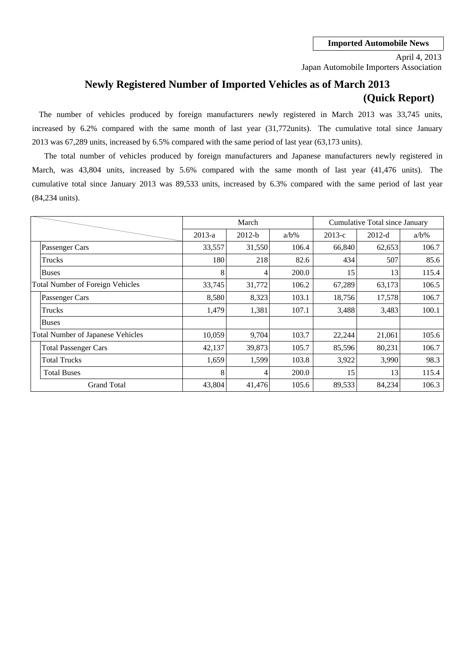Japan Automobile Importers Association April 4, 2013

# **Newly Registered Number of Imported Vehicles as of March 2013 (Quick Report)**

The number of vehicles produced by foreign manufacturers newly registered in March 2013 was 33,745 units, increased by 6.2% compared with the same month of last year (31,772units). The cumulative total since January 2013 was 67,289 units, increased by 6.5% compared with the same period of last year (63,173 units).

The total number of vehicles produced by foreign manufacturers and Japanese manufacturers newly registered in cumulative total since January 2013 was 89,533 units, increased by 6.3% compared with the same period of last year March, was 43,804 units, increased by 5.6% compared with the same month of last year (41,476 units). The (84,234 units).

|                                          |          | March    |         |          | Cumulative Total since January |         |  |  |
|------------------------------------------|----------|----------|---------|----------|--------------------------------|---------|--|--|
|                                          | $2013-a$ | $2012-b$ | $a/b\%$ | $2013-c$ | $2012-d$                       | $a/b\%$ |  |  |
| Passenger Cars                           | 33,557   | 31,550   | 106.4   | 66,840   | 62,653                         | 106.7   |  |  |
| Trucks                                   | 180      | 218      | 82.6    | 434      | 507                            | 85.6    |  |  |
| <b>Buses</b>                             | 8        | 4        | 200.0   | 15       | 13                             | 115.4   |  |  |
| <b>Total Number of Foreign Vehicles</b>  | 33,745   | 31,772   | 106.2   | 67,289   | 63,173                         | 106.5   |  |  |
| Passenger Cars                           | 8,580    | 8,323    | 103.1   | 18,756   | 17,578                         | 106.7   |  |  |
| Trucks                                   | 1,479    | 1,381    | 107.1   | 3,488    | 3,483                          | 100.1   |  |  |
| <b>Buses</b>                             |          |          |         |          |                                |         |  |  |
| <b>Total Number of Japanese Vehicles</b> | 10,059   | 9,704    | 103.7   | 22,244   | 21,061                         | 105.6   |  |  |
| <b>Total Passenger Cars</b>              | 42,137   | 39,873   | 105.7   | 85,596   | 80,231                         | 106.7   |  |  |
| <b>Total Trucks</b>                      | 1,659    | 1,599    | 103.8   | 3,922    | 3,990                          | 98.3    |  |  |
| <b>Total Buses</b>                       | 8        | 4        | 200.0   | 15       | 13                             | 115.4   |  |  |
| <b>Grand Total</b>                       | 43,804   | 41,476   | 105.6   | 89,533   | 84,234                         | 106.3   |  |  |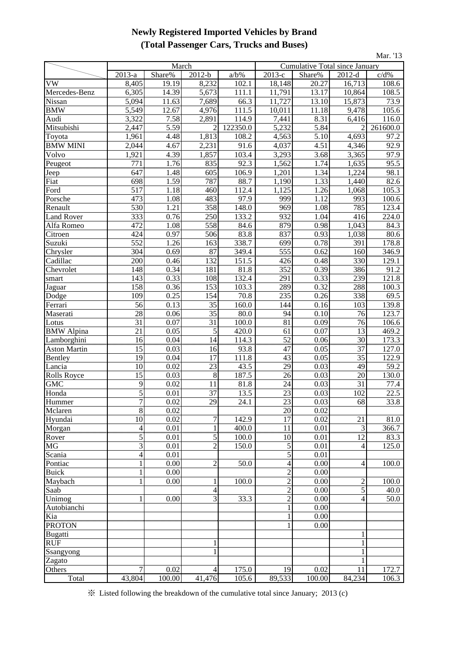## **Newly Registered Imported Vehicles by Brand (Total Passenger Cars, Trucks and Buses)**

| Mar. '13               |                  |                   |                |                    |                                |              |                 |               |  |  |
|------------------------|------------------|-------------------|----------------|--------------------|--------------------------------|--------------|-----------------|---------------|--|--|
|                        |                  | March             |                |                    | Cumulative Total since January |              |                 |               |  |  |
|                        | 2013-a           | Share%            | $2012-b$       | $a/b\%$            | $2013-c$                       | Share%       | 2012-d          | c/d%          |  |  |
| VW                     | 8,405            | 19.19             | 8,232          | 102.1              | 18,148                         | 20.27        | 16,713          | 108.6         |  |  |
| Mercedes-Benz          | 6,305            | 14.39             | 5,673          | 111.1              | 11,791                         | 13.17        | 10,864          | 108.5         |  |  |
| Nissan                 | 5,094            | 11.63             | 7,689          | 66.3               | 11,727                         | 13.10        | 15,873          | 73.9          |  |  |
| <b>BMW</b>             | 5,549            | 12.67             | 4,976          | $\overline{11}1.5$ | 10,011                         | 11.18        | 9,478           | 105.6         |  |  |
| Audi                   | 3,322            | $7.\overline{58}$ | 2,891          | 114.9              | 7,441                          | 8.31         | 6,416           | 116.0         |  |  |
| Mitsubishi             | 2,447            | 5.59              | $\overline{2}$ | 122350.0           | 5,232                          | 5.84         | $\overline{2}$  | 261600.0      |  |  |
| Toyota                 | 1,961            | 4.48              | 1,813          | 108.2              | 4,563                          | 5.10         | 4,693           | 97.2          |  |  |
| <b>BMW MINI</b>        | 2,044            | 4.67              | 2,231          | 91.6               | 4,037                          | 4.51         | 4,346           | 92.9          |  |  |
| Volvo                  | 1,921            | 4.39              | 1,857          | 103.4              | 3,293                          | 3.68         | 3,365           | 97.9          |  |  |
| Peugeot                | $\frac{771}{17}$ | 1.76              | 835            | 92.3               | 1,562                          | 1.74         | 1,635           | 95.5          |  |  |
| Jeep                   | 647              | 1.48              | 605            | 106.9              | 1,201                          | 1.34         | 1,224           | 98.1          |  |  |
| Fiat                   | 698              | 1.59              | 787            | 88.7               | 1,190                          | 1.33         | 1,440           | 82.6          |  |  |
| Ford                   | 517              | 1.18              | 460            | 112.4              | 1,125                          | 1.26         | 1,068           | 105.3         |  |  |
| Porsche                | 473              | 1.08              | 483            | 97.9               | 999                            | 1.12         | 993             | 100.6         |  |  |
| Renault                | 530              | 1.21              | 358            | 148.0              | 969                            | 1.08         | 785             | 123.4         |  |  |
| <b>Land Rover</b>      | 333              | 0.76              | 250            | 133.2              | 932                            | 1.04         | 416             | 224.0         |  |  |
| Alfa Romeo             | 472              | 1.08              | 558            | 84.6               | 879                            | 0.98         | 1,043           | 84.3          |  |  |
| Citroen                | 424              | 0.97              | 506            | 83.8               | 837                            | 0.93         | 1,038           | 80.6          |  |  |
| Suzuki                 | 552              | 1.26              | 163            | 338.7              | 699                            | 0.78         | 391             | 178.8         |  |  |
| Chrysler               | 304              | 0.69              | 87             | 349.4              | $\frac{555}{555}$              | 0.62         | 160             | 346.9         |  |  |
| Cadillac               | 200<br>148       | 0.46              | 132            | 151.5              | 426<br>352                     | 0.48<br>0.39 | 330<br>386      | 129.1         |  |  |
| Chevrolet              | 143              | 0.34<br>0.33      | 181<br>108     | 81.8<br>132.4      | 291                            | 0.33         | 239             | 91.2<br>121.8 |  |  |
| smart                  | 158              | 0.36              | 153            | 103.3              | 289                            | 0.32         | 288             | 100.3         |  |  |
| Jaguar<br>Dodge        | 109              | 0.25              | 154            | 70.8               | 235                            | 0.26         | 338             | 69.5          |  |  |
| Ferrari                | 56               | 0.13              | 35             | 160.0              | 144                            | 0.16         | 103             | 139.8         |  |  |
| Maserati               | 28               | 0.06              | 35             | 80.0               | 94                             | 0.10         | 76              | 123.7         |  |  |
| Lotus                  | 31               | 0.07              | 31             | 100.0              | 81                             | 0.09         | 76              | 106.6         |  |  |
| <b>BMW</b> Alpina      | 21               | 0.05              | 5              | 420.0              | 61                             | 0.07         | 13              | 469.2         |  |  |
| Lamborghini            | 16               | 0.04              | 14             | 114.3              | $\overline{52}$                | 0.06         | $\frac{30}{27}$ | 173.3         |  |  |
| <b>Aston Martin</b>    | 15               | 0.03              | 16             | 93.8               | 47                             | 0.05         | 37              | 127.0         |  |  |
| Bentley                | 19               | 0.04              | 17             | 111.8              | 43                             | 0.05         | 35              | 122.9         |  |  |
| Lancia                 | 10               | 0.02              | 23             | 43.5               | 29                             | 0.03         | 49              | 59.2          |  |  |
| <b>Rolls Royce</b>     | 15               | 0.03              | 8              | 187.5              | 26                             | 0.03         | 20              | 130.0         |  |  |
| <b>GMC</b>             | 9                | 0.02              | 11             | 81.8               | 24                             | 0.03         | 31              | 77.4          |  |  |
| Honda                  | 5                | 0.01              | 37             | 13.5               | $\overline{23}$                | 0.03         | 102             | 22.5          |  |  |
| Hummer                 | 7                | 0.02              | 29             | 24.1               | 23                             | 0.03         | 68              | 33.8          |  |  |
| Mclaren                | $\overline{8}$   | 0.02              |                |                    | $\overline{20}$                | 0.02         |                 |               |  |  |
| Hyundai                | 10               | 0.02              | 7              | 142.9              | $\overline{17}$                | 0.02         | 21              | $81.0\,$      |  |  |
| Morgan                 | $\frac{4}{5}$    | 0.01              |                | 400.0              | $\frac{11}{2}$                 | 0.01         | $\overline{3}$  | 366.7         |  |  |
| Rover                  |                  | 0.01              | $\frac{1}{5}$  | 100.0              | 10                             | 0.01         | 12              | 83.3          |  |  |
| $\overline{\text{MG}}$ | $\overline{3}$   | 0.01              | $\overline{c}$ | 150.0              | 5                              | 0.01         | $\overline{4}$  | 125.0         |  |  |
| Scania                 | $\overline{4}$   | 0.01              |                |                    | $\sqrt{5}$                     | 0.01         |                 |               |  |  |
| Pontiac                | $\mathbf{1}$     | 0.00              | $\overline{c}$ | 50.0               | $\overline{4}$                 | 0.00         | 4               | 100.0         |  |  |
| <b>Buick</b>           | 1                | 0.00              |                |                    | $\sqrt{2}$                     | 0.00         |                 |               |  |  |
| Maybach                | 1                | 0.00              |                | 100.0              | $\overline{2}$                 | 0.00         | $\overline{c}$  | 100.0         |  |  |
| Saab                   |                  |                   | 4              |                    | $\overline{c}$                 | 0.00         | 5               | 40.0          |  |  |
| Unimog                 | 1                | 0.00              | 3              | 33.3               | $\overline{c}$                 | 0.00         | $\overline{4}$  | 50.0          |  |  |
| Autobianchi            |                  |                   |                |                    | 1                              | 0.00         |                 |               |  |  |
| Kia                    |                  |                   |                |                    |                                | 0.00         |                 |               |  |  |
| <b>PROTON</b>          |                  |                   |                |                    |                                | 0.00         |                 |               |  |  |
| Bugatti<br><b>RUF</b>  |                  |                   |                |                    |                                |              | 1               |               |  |  |
| Ssangyong              |                  |                   |                |                    |                                |              |                 |               |  |  |
| Zagato                 |                  |                   |                |                    |                                |              | 1               |               |  |  |
| Others                 | $\overline{7}$   | 0.02              | 4              | 175.0              | 19                             | 0.02         | 11              | 172.7         |  |  |
| Total                  | 43,804           | 100.00            | 41,476         | 105.6              | 89,533                         | 100.00       | 84,234          | 106.3         |  |  |

※ Listed following the breakdown of the cumulative total since January; 2013 (c)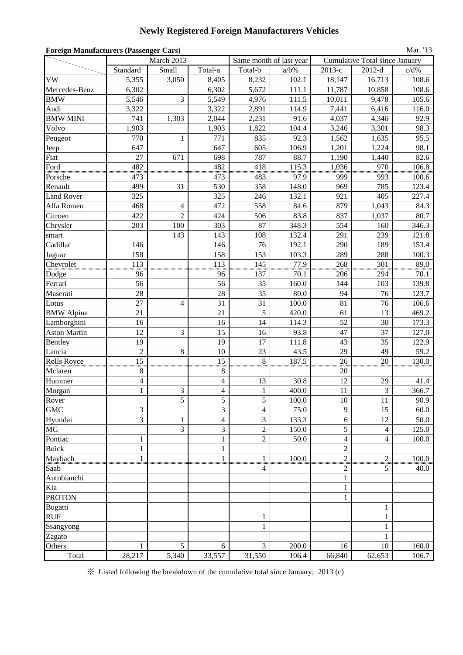# **Newly Registered Foreign Manufacturers Vehicles**

| <b>Foreign Manufacturers (Passenger Cars)</b><br>Mar. '13 |                |                         |                          |                |                         |                  |                                       |         |  |
|-----------------------------------------------------------|----------------|-------------------------|--------------------------|----------------|-------------------------|------------------|---------------------------------------|---------|--|
|                                                           |                | March 2013              |                          |                | Same month of last year |                  | <b>Cumulative Total since January</b> |         |  |
|                                                           | Standard       | Small                   | Total-a                  | Total-b        | $a/b\%$                 | 2013-е           | $2012-d$                              | $c/d\%$ |  |
| <b>VW</b>                                                 | 5,355          | 3,050                   | 8,405                    | 8,232          | 102.1                   | 18,147           | 16,713                                | 108.6   |  |
| Mercedes-Benz                                             | 6,302          |                         | 6,302                    | 5,672          | 111.1                   | 11,787           | 10,858                                | 108.6   |  |
| <b>BMW</b>                                                | 5,546          | 3                       | 5,549                    | 4,976          | 111.5                   | 10,011           | 9,478                                 | 105.6   |  |
| Audi                                                      | 3,322          |                         | 3,322                    | 2,891          | 114.9                   | 7,441            | 6,416                                 | 116.0   |  |
| <b>BMW MINI</b>                                           | 741            | 1,303                   | 2,044                    | 2,231          | 91.6                    | 4,037            | 4,346                                 | 92.9    |  |
| Volvo                                                     | 1,903          |                         | 1,903                    | 1,822          | 104.4                   | 3,246            | 3,301                                 | 98.3    |  |
| Peugeot                                                   | 770            | $\mathbf{1}$            | 771                      | 835            | 92.3                    | 1,562            | 1,635                                 | 95.5    |  |
| Jeep                                                      | 647            |                         | 647                      | 605            | 106.9                   | 1,201            | 1,224                                 | 98.1    |  |
| Fiat                                                      | 27             | 671                     | 698                      | 787            | 88.7                    | 1,190            | 1,440                                 | 82.6    |  |
| Ford                                                      | 482            |                         | 482                      | 418            | 115.3                   | 1,036            | 970                                   | 106.8   |  |
| Porsche                                                   | 473            |                         | 473                      | 483            | 97.9                    | 999              | 993                                   | 100.6   |  |
| Renault                                                   | 499            | 31                      | 530                      | 358            | 148.0                   | 969              | 785                                   | 123.4   |  |
| <b>Land Rover</b>                                         | 325            |                         | 325                      | 246            | 132.1                   | 921              | 405                                   | 227.4   |  |
| Alfa Romeo                                                | 468            | $\overline{\mathbf{4}}$ | 472                      | 558            | 84.6                    | 879              | 1,043                                 | 84.3    |  |
| Citroen                                                   | 422            | $\overline{2}$          | 424                      | 506            | 83.8                    | 837              | 1,037                                 | 80.7    |  |
| Chrysler                                                  | 203            | 100                     | 303                      | 87             | 348.3                   | 554              | 160                                   | 346.3   |  |
| smart                                                     |                | 143                     | 143                      | 108            | 132.4                   | 291              | 239                                   | 121.8   |  |
| Cadillac                                                  | 146            |                         | 146                      | 76             | 192.1                   | 290              | 189                                   | 153.4   |  |
| Jaguar                                                    | 158            |                         | 158                      | 153            | 103.3                   | 289              | 288                                   | 100.3   |  |
| Chevrolet                                                 | 113            |                         | 113                      | 145            | 77.9                    | 268              | 301                                   | 89.0    |  |
| Dodge                                                     | 96             |                         | 96                       | 137            | 70.1                    | 206              | 294                                   | 70.1    |  |
| Ferrari                                                   | 56             |                         | 56                       | 35             | 160.0                   | 144              | 103                                   | 139.8   |  |
| Maserati                                                  | 28             |                         | 28                       | 35             | 80.0                    | 94               | 76                                    | 123.7   |  |
| Lotus                                                     | 27             | $\overline{4}$          | 31                       | 31             | 100.0                   | 81               | 76                                    | 106.6   |  |
| <b>BMW</b> Alpina                                         | 21             |                         | 21                       | 5              | 420.0                   | 61               | 13                                    | 469.2   |  |
| Lamborghini                                               | 16             |                         | 16                       | 14             | 114.3                   | 52               | 30                                    | 173.3   |  |
| <b>Aston Martin</b>                                       | 12             | 3                       | 15                       | 16             | 93.8                    | 47               | 37                                    | 127.0   |  |
| Bentley                                                   | 19             |                         | 19                       | 17             | 111.8                   | 43               | 35                                    | 122.9   |  |
| Lancia                                                    | $\overline{c}$ | 8                       | 10                       | 23             | 43.5                    | 29               | 49                                    | 59.2    |  |
| Rolls Royce                                               | 15             |                         | 15                       | 8              | 187.5                   | 26               | 20                                    | 130.0   |  |
| Mclaren                                                   | 8              |                         | $\,8\,$                  |                |                         | 20               |                                       |         |  |
| Hummer                                                    | 4              |                         | 4                        | 13             | 30.8                    | 12               | 29                                    | 41.4    |  |
| Morgan                                                    | $\mathbf{1}$   | 3                       | $\overline{\mathcal{L}}$ | $\mathbf{1}$   | 400.0                   | 11               | 3                                     | 366.7   |  |
| Rover                                                     |                | 5                       | $\sqrt{5}$               | 5              | 100.0                   | 10               | 11                                    | 90.9    |  |
| <b>GMC</b>                                                | 3              |                         | 3                        | $\overline{4}$ | 75.0                    | 9                | 15                                    | 60.0    |  |
| Hyundai                                                   | $\overline{3}$ | $\mathbf{1}$            | $\overline{4}$           | $\overline{3}$ | 133.3                   | 6                | 12                                    | 50.0    |  |
| <b>MG</b>                                                 |                | $\overline{\mathbf{3}}$ | 3                        | $\overline{c}$ | 150.0                   | 5                | $\overline{4}$                        | 125.0   |  |
| Pontiac                                                   | $\mathbf{1}$   |                         | $\mathbf{1}$             | $\overline{2}$ | 50.0                    | $\overline{4}$   | 4                                     | 100.0   |  |
| <b>Buick</b>                                              | $\mathbf{1}$   |                         | $\mathbf{1}$             |                |                         | $\boldsymbol{2}$ |                                       |         |  |
| Maybach                                                   | $\mathbf{1}$   |                         | $\mathbf{1}$             | $\mathbf{1}$   | 100.0                   | $\overline{c}$   | $\overline{c}$                        | 100.0   |  |
| Saab                                                      |                |                         |                          | 4              |                         | $\sqrt{2}$       | 5                                     | 40.0    |  |
| Autobianchi                                               |                |                         |                          |                |                         | $\mathbf{1}$     |                                       |         |  |
| Kia                                                       |                |                         |                          |                |                         | $\mathbf{1}$     |                                       |         |  |
| <b>PROTON</b>                                             |                |                         |                          |                |                         | 1                |                                       |         |  |
| Bugatti                                                   |                |                         |                          |                |                         |                  | 1                                     |         |  |
| <b>RUF</b>                                                |                |                         |                          | $\mathbf{1}$   |                         |                  | $\mathbf{1}$                          |         |  |
| Ssangyong                                                 |                |                         |                          | $\mathbf{1}$   |                         |                  | $\mathbf{1}$                          |         |  |
| Zagato                                                    |                |                         |                          |                |                         |                  | $\mathbf{1}$                          |         |  |
| Others                                                    | $\mathbf{1}$   | 5                       | 6                        | 3              | 200.0                   | 16               | 10                                    | 160.0   |  |
| Total                                                     | 28,217         | 5,340                   | 33,557                   | 31,550         | 106.4                   | 66,840           | 62,653                                | 106.7   |  |

※ Listed following the breakdown of the cumulative total since January; 2013 (c)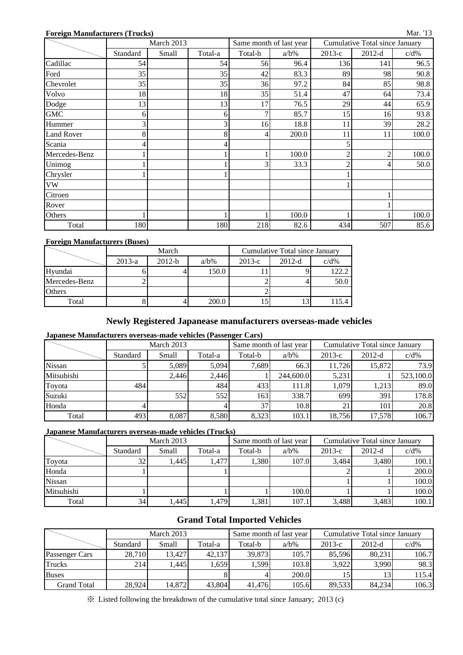#### **Foreign Manufacturers (Trucks)**

|                   | March 2013 |       |         |         | Same month of last year | Cumulative Total since January |          |         |  |
|-------------------|------------|-------|---------|---------|-------------------------|--------------------------------|----------|---------|--|
|                   | Standard   | Small | Total-a | Total-b | $a/b\%$                 | 2013-е                         | $2012-d$ | $c/d\%$ |  |
| Cadillac          | 54         |       | 54      | 56      | 96.4                    | 136                            | 141      | 96.5    |  |
| Ford              | 35         |       | 35      | 42      | 83.3                    | 89                             | 98       | 90.8    |  |
| Chevrolet         | 35         |       | 35      | 36      | 97.2                    | 84                             | 85       | 98.8    |  |
| Volvo             | 18         |       | 18      | 35      | 51.4                    | 47                             | 64       | 73.4    |  |
| Dodge             | 13         |       | 13      | 17      | 76.5                    | 29                             | 44       | 65.9    |  |
| <b>GMC</b>        | 6          |       | 6       | 7       | 85.7                    | 15                             | 16       | 93.8    |  |
| Hummer            |            |       | 3       | 16      | 18.8                    | 11                             | 39       | 28.2    |  |
| <b>Land Rover</b> | 8          |       | 8       | 4       | 200.0                   | 11                             | 11       | 100.0   |  |
| Scania            |            |       |         |         |                         |                                |          |         |  |
| Mercedes-Benz     |            |       |         |         | 100.0                   | ◠                              | າ        | 100.0   |  |
| Unimog            |            |       |         | 3       | 33.3                    | ◠                              |          | 50.0    |  |
| Chrysler          |            |       |         |         |                         |                                |          |         |  |
| <b>VW</b>         |            |       |         |         |                         |                                |          |         |  |
| Citroen           |            |       |         |         |                         |                                |          |         |  |
| Rover             |            |       |         |         |                         |                                |          |         |  |
| Others            |            |       |         |         | 100.0                   |                                |          | 100.0   |  |
| Total             | 180        |       | 180     | 218     | 82.6                    | 434                            | 507      | 85.6    |  |

#### **Foreign Manufacturers (Buses)**

|               |          | March    |         | Cumulative Total since January |          |         |  |  |
|---------------|----------|----------|---------|--------------------------------|----------|---------|--|--|
|               | $2013-a$ | $2012-b$ | $a/b\%$ | $2013-c$                       | $2012-d$ | $c/d\%$ |  |  |
| Hyundai       |          |          | 150.0   |                                |          | 122.2   |  |  |
| Mercedes-Benz |          |          |         |                                |          | 50.0    |  |  |
| <b>Others</b> |          |          |         |                                |          |         |  |  |
| Total         |          |          | 200.0   |                                |          |         |  |  |

### **Newly Registered Japanease manufacturers overseas-made vehicles**

### **Japanese Manufacturers overseas-made vehicles (Passenger Cars)**

|            |          | March 2013 |         |         | Same month of last year | Cumulative Total since January |          |           |  |
|------------|----------|------------|---------|---------|-------------------------|--------------------------------|----------|-----------|--|
|            | Standard | Small      | Total-a | Total-b | $a/b\%$                 | $2013-c$                       | $2012-d$ | $c/d\%$   |  |
| Nissan     |          | 5,089      | 5.094   | 7,689   | 66.3                    | 11,726                         | 15,872   | 73.9      |  |
| Mitsubishi |          | 2.446      | 2.446   |         | 244,600.0               | 5,231                          |          | 523,100.0 |  |
| Toyota     | 484      |            | 484     | 433     | 111.8                   | 1,079                          | 1,213    | 89.0      |  |
| Suzuki     |          | 552        | 552     | 163     | 338.7                   | 699                            | 391      | 178.8     |  |
| Honda      |          |            |         | 37      | 10.8                    | 21                             | 101      | 20.8      |  |
| Total      | 493      | 8,087      | 8,580   | 8,323   | 103.1                   | 18,756                         | 17,578   | 106.7     |  |

#### **Japanese Manufacturers overseas-made vehicles (Trucks)**

|               |          | March 2013 |         |         | Same month of last year | Cumulative Total since January |          |         |  |
|---------------|----------|------------|---------|---------|-------------------------|--------------------------------|----------|---------|--|
|               | Standard | Small      | Total-a | Total-b | $a/b\%$                 | $2013-c$                       | $2012-d$ | $c/d\%$ |  |
| Toyota        | 32       | .445       | 1,477   | .380    | 107.0                   | 3.484                          | 3.480    | 100.1   |  |
| Honda         |          |            |         |         |                         |                                |          | 200.0   |  |
| <b>Nissan</b> |          |            |         |         |                         |                                |          | 100.0   |  |
| Mitsubishi    |          |            |         |         | 100.0                   |                                |          | 100.0   |  |
| Total         | 34       | ,445       | 1,479   | 1,381   | 107.1                   | 3,488                          | 3,483    | 100.1   |  |

### **Grand Total Imported Vehicles**

|                |          | March 2013 |         |         | Same month of last year | Cumulative Total since January |          |         |  |
|----------------|----------|------------|---------|---------|-------------------------|--------------------------------|----------|---------|--|
|                | Standard | Small      | Total-a | Total-b | $a/b\%$                 | $2013-c$                       | $2012-d$ | $c/d\%$ |  |
| Passenger Cars | 28,710   | 13.427     | 42.137  | 39,873  | 105.7                   | 85,596                         | 80.231   | 106.7   |  |
| <b>Trucks</b>  | 214      | .445       | 1,659   | 1,599   | 103.8                   | 3,922                          | 3,990    | 98.3    |  |
| <b>Buses</b>   |          |            |         |         | 200.0                   |                                |          | 115.4   |  |
| Grand Total    | 28.924   | 14,872     | 43.804  | 41.476  | 105.6                   | 89.533                         | 84.234   | 106.3   |  |

※ Listed following the breakdown of the cumulative total since January; 2013 (c)